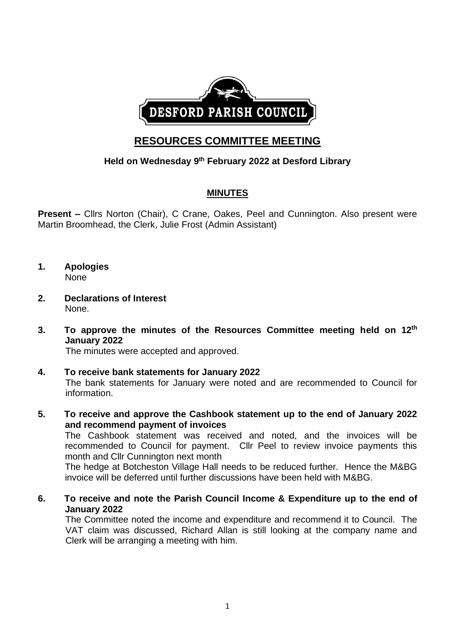

# **RESOURCES COMMITTEE MEETING**

## **Held on Wednesday 9 th February 2022 at Desford Library**

## **MINUTES**

**Present –** Cllrs Norton (Chair), C Crane, Oakes, Peel and Cunnington. Also present were Martin Broomhead, the Clerk, Julie Frost (Admin Assistant)

- **1. Apologies** None
- **2. Declarations of Interest** None.
- **3. To approve the minutes of the Resources Committee meeting held on 12th January 2022**

The minutes were accepted and approved.

- **4. To receive bank statements for January 2022** The bank statements for January were noted and are recommended to Council for information.
- **5. To receive and approve the Cashbook statement up to the end of January 2022 and recommend payment of invoices**

The Cashbook statement was received and noted, and the invoices will be recommended to Council for payment. Cllr Peel to review invoice payments this month and Cllr Cunnington next month

The hedge at Botcheston Village Hall needs to be reduced further. Hence the M&BG invoice will be deferred until further discussions have been held with M&BG.

**6. To receive and note the Parish Council Income & Expenditure up to the end of January 2022**

The Committee noted the income and expenditure and recommend it to Council. The VAT claim was discussed, Richard Allan is still looking at the company name and Clerk will be arranging a meeting with him.